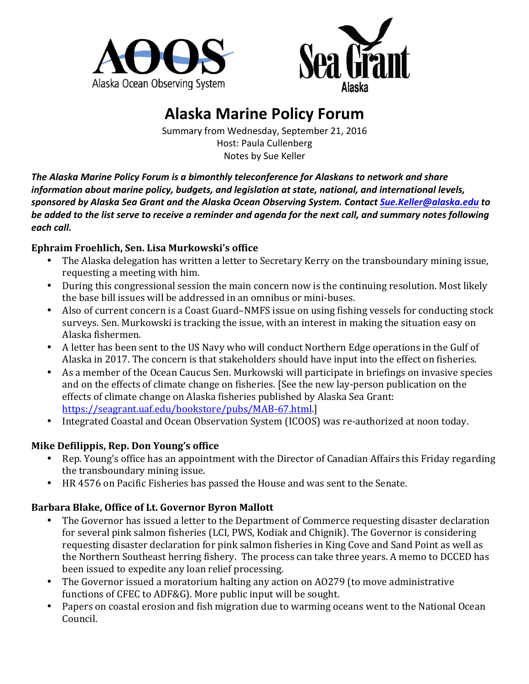



# **Alaska Marine Policy Forum**

Summary from Wednesday, September 21, 2016 Host: Paula Cullenberg Notes by Sue Keller

The Alaska Marine Policy Forum is a bimonthly teleconference for Alaskans to network and share *information about marine policy, budgets, and legislation at state, national, and international levels, sponsored by Alaska Sea Grant and the Alaska Ocean Observing System. Contact [Sue.Keller@alaska.edu](mailto:Sue.Keller@alaska.edu) to*  be added to the list serve to receive a reminder and agenda for the next call, and summary notes following each call.

## **Ephraim Froehlich, Sen. Lisa Murkowski's office**

- The Alaska delegation has written a letter to Secretary Kerry on the transboundary mining issue, requesting a meeting with him.
- During this congressional session the main concern now is the continuing resolution. Most likely the base bill issues will be addressed in an omnibus or mini-buses.
- Also of current concern is a Coast Guard–NMFS issue on using fishing vessels for conducting stock surveys. Sen. Murkowski is tracking the issue, with an interest in making the situation easy on Alaska fishermen.
- A letter has been sent to the US Navy who will conduct Northern Edge operations in the Gulf of Alaska in 2017. The concern is that stakeholders should have input into the effect on fisheries.
- As a member of the Ocean Caucus Sen. Murkowski will participate in briefings on invasive species and on the effects of climate change on fisheries. [See the new lay-person publication on the effects of climate change on Alaska fisheries published by Alaska Sea Grant: <https://seagrant.uaf.edu/bookstore/pubs/MAB-67.html>.]
- Integrated Coastal and Ocean Observation System (ICOOS) was re-authorized at noon today.

# **Mike Defilippis, Rep. Don Young's office**

- Rep. Young's office has an appointment with the Director of Canadian Affairs this Friday regarding the transboundary mining issue.
- HR 4576 on Pacific Fisheries has passed the House and was sent to the Senate.

# Barbara Blake, Office of Lt. Governor Byron Mallott

- The Governor has issued a letter to the Department of Commerce requesting disaster declaration for several pink salmon fisheries (LCI, PWS, Kodiak and Chignik). The Governor is considering requesting disaster declaration for pink salmon fisheries in King Cove and Sand Point as well as the Northern Southeast herring fishery. The process can take three years. A memo to DCCED has been issued to expedite any loan relief processing.
- The Governor issued a moratorium halting any action on AO279 (to move administrative functions of CFEC to ADF&G). More public input will be sought.
- Papers on coastal erosion and fish migration due to warming oceans went to the National Ocean Council.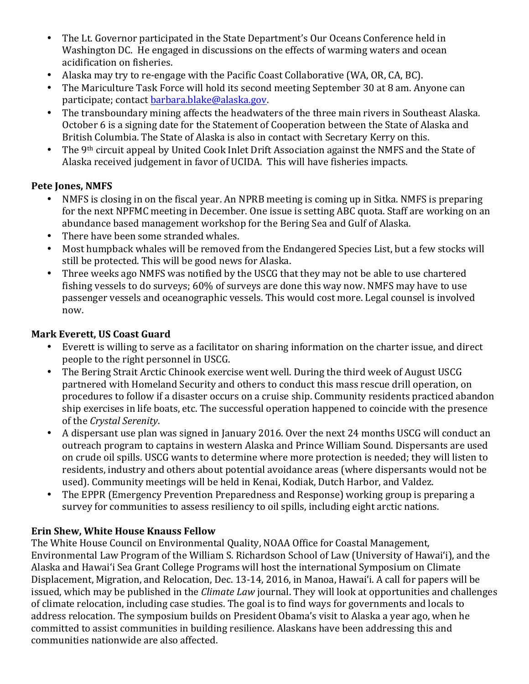- The Lt. Governor participated in the State Department's Our Oceans Conference held in Washington DC. He engaged in discussions on the effects of warming waters and ocean acidification on fisheries.
- Alaska may try to re-engage with the Pacific Coast Collaborative (WA, OR, CA, BC).
- The Mariculture Task Force will hold its second meeting September 30 at 8 am. Anyone can participate; contact barbara.blake@alaska.gov.
- The transboundary mining affects the headwaters of the three main rivers in Southeast Alaska. October 6 is a signing date for the Statement of Cooperation between the State of Alaska and British Columbia. The State of Alaska is also in contact with Secretary Kerry on this.
- The 9<sup>th</sup> circuit appeal by United Cook Inlet Drift Association against the NMFS and the State of Alaska received judgement in favor of UCIDA. This will have fisheries impacts.

## **Pete Jones, NMFS**

- NMFS is closing in on the fiscal year. An NPRB meeting is coming up in Sitka. NMFS is preparing for the next NPFMC meeting in December. One issue is setting ABC quota. Staff are working on an abundance based management workshop for the Bering Sea and Gulf of Alaska.
- There have been some stranded whales.
- Most humpback whales will be removed from the Endangered Species List, but a few stocks will still be protected. This will be good news for Alaska.
- Three weeks ago NMFS was notified by the USCG that they may not be able to use chartered fishing vessels to do surveys;  $60\%$  of surveys are done this way now. NMFS may have to use passenger vessels and oceanographic vessels. This would cost more. Legal counsel is involved now.

#### **Mark Everett, US Coast Guard**

- Everett is willing to serve as a facilitator on sharing information on the charter issue, and direct people to the right personnel in USCG.
- The Bering Strait Arctic Chinook exercise went well. During the third week of August USCG partnered with Homeland Security and others to conduct this mass rescue drill operation, on procedures to follow if a disaster occurs on a cruise ship. Community residents practiced abandon ship exercises in life boats, etc. The successful operation happened to coincide with the presence of the *Crystal Serenity*.
- A dispersant use plan was signed in January 2016. Over the next 24 months USCG will conduct an outreach program to captains in western Alaska and Prince William Sound. Dispersants are used on crude oil spills. USCG wants to determine where more protection is needed; they will listen to residents, industry and others about potential avoidance areas (where dispersants would not be used). Community meetings will be held in Kenai, Kodiak, Dutch Harbor, and Valdez.
- The EPPR (Emergency Prevention Preparedness and Response) working group is preparing a survey for communities to assess resiliency to oil spills, including eight arctic nations.

#### **Erin Shew, White House Knauss Fellow**

The White House Council on Environmental Quality, NOAA Office for Coastal Management, Environmental Law Program of the William S. Richardson School of Law (University of Hawai'i), and the Alaska and Hawai'i Sea Grant College Programs will host the international Symposium on Climate Displacement, Migration, and Relocation, Dec. 13-14, 2016, in Manoa, Hawai'i. A call for papers will be issued, which may be published in the *Climate Law* journal. They will look at opportunities and challenges of climate relocation, including case studies. The goal is to find ways for governments and locals to address relocation. The symposium builds on President Obama's visit to Alaska a year ago, when he committed to assist communities in building resilience. Alaskans have been addressing this and communities nationwide are also affected.